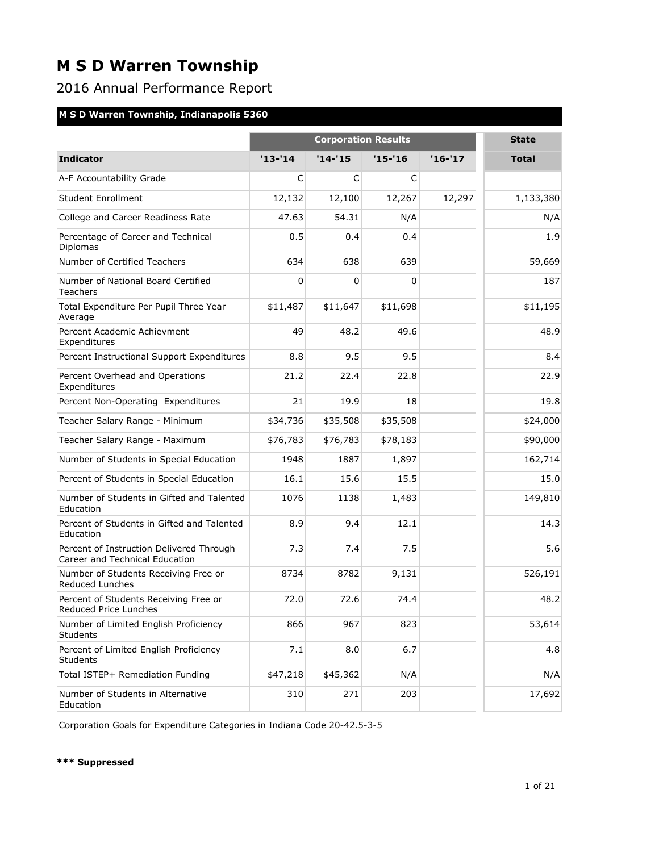## 2016 Annual Performance Report

### **M S D Warren Township, Indianapolis 5360**

|                                                                            |            | <b>State</b> |            |         |              |
|----------------------------------------------------------------------------|------------|--------------|------------|---------|--------------|
| <b>Indicator</b>                                                           | $'13 - 14$ | $'14 - 15$   | $'15 - 16$ | '16-'17 | <b>Total</b> |
| A-F Accountability Grade                                                   | C          | C            | C          |         |              |
| <b>Student Enrollment</b>                                                  | 12,132     | 12,100       | 12,267     | 12,297  | 1,133,380    |
| College and Career Readiness Rate                                          | 47.63      | 54.31        | N/A        |         | N/A          |
| Percentage of Career and Technical<br>Diplomas                             | 0.5        | 0.4          | 0.4        |         | 1.9          |
| Number of Certified Teachers                                               | 634        | 638          | 639        |         | 59,669       |
| Number of National Board Certified<br>Teachers                             | 0          | 0            | 0          |         | 187          |
| Total Expenditure Per Pupil Three Year<br>Average                          | \$11,487   | \$11,647     | \$11,698   |         | \$11,195     |
| Percent Academic Achievment<br>Expenditures                                | 49         | 48.2         | 49.6       |         | 48.9         |
| Percent Instructional Support Expenditures                                 | 8.8        | 9.5          | 9.5        |         | 8.4          |
| Percent Overhead and Operations<br>Expenditures                            | 21.2       | 22.4         | 22.8       |         | 22.9         |
| Percent Non-Operating Expenditures                                         | 21         | 19.9         | 18         |         | 19.8         |
| Teacher Salary Range - Minimum                                             | \$34,736   | \$35,508     | \$35,508   |         | \$24,000     |
| Teacher Salary Range - Maximum                                             | \$76,783   | \$76,783     | \$78,183   |         | \$90,000     |
| Number of Students in Special Education                                    | 1948       | 1887         | 1,897      |         | 162,714      |
| Percent of Students in Special Education                                   | 16.1       | 15.6         | 15.5       |         | 15.0         |
| Number of Students in Gifted and Talented<br>Education                     | 1076       | 1138         | 1,483      |         | 149,810      |
| Percent of Students in Gifted and Talented<br>Education                    | 8.9        | 9.4          | 12.1       |         | 14.3         |
| Percent of Instruction Delivered Through<br>Career and Technical Education | 7.3        | 7.4          | 7.5        |         | 5.6          |
| Number of Students Receiving Free or<br><b>Reduced Lunches</b>             | 8734       | 8782         | 9,131      |         | 526,191      |
| Percent of Students Receiving Free or<br>Reduced Price Lunches             | 72.0       | 72.6         | 74.4       |         | 48.2         |
| Number of Limited English Proficiency<br><b>Students</b>                   | 866        | 967          | 823        |         | 53,614       |
| Percent of Limited English Proficiency<br>Students                         | 7.1        | 8.0          | 6.7        |         | 4.8          |
| Total ISTEP+ Remediation Funding                                           | \$47,218   | \$45,362     | N/A        |         | N/A          |
| Number of Students in Alternative<br>Education                             | 310        | 271          | 203        |         | 17,692       |

Corporation Goals for Expenditure Categories in Indiana Code 20-42.5-3-5

#### **\*\*\* Suppressed**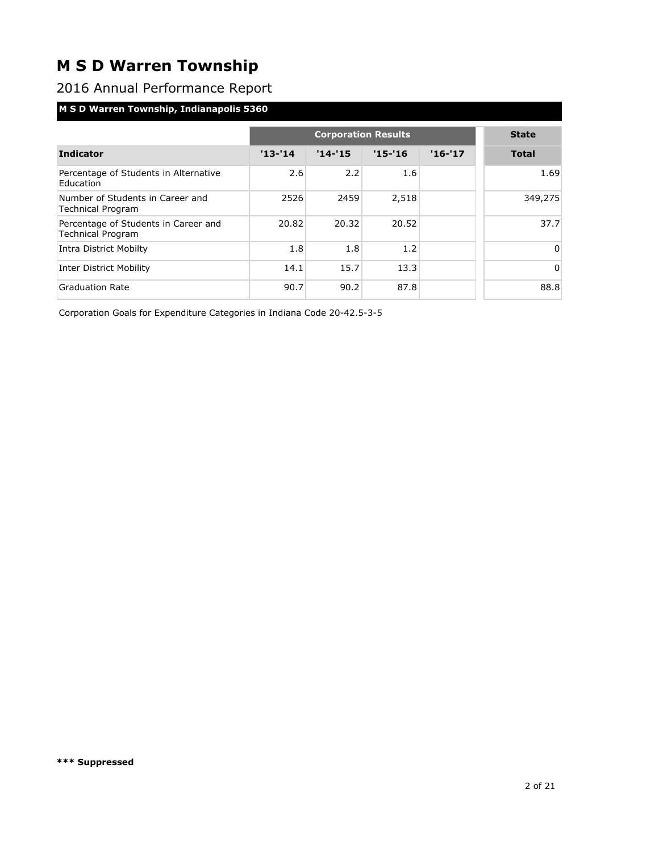2016 Annual Performance Report

### **M S D Warren Township, Indianapolis 5360**

|                                                                  |            | <b>State</b> |            |          |              |
|------------------------------------------------------------------|------------|--------------|------------|----------|--------------|
| <b>Indicator</b>                                                 | $'13 - 14$ | $'14-'15$    | $'15 - 16$ | $'16-17$ | <b>Total</b> |
| Percentage of Students in Alternative<br>Education               | 2.6        | 2.2          | 1.6        |          | 1.69         |
| Number of Students in Career and<br><b>Technical Program</b>     | 2526       | 2459         | 2,518      |          | 349,275      |
| Percentage of Students in Career and<br><b>Technical Program</b> | 20.82      | 20.32        | 20.52      |          | 37.7         |
| Intra District Mobilty                                           | 1.8        | 1.8          | 1.2        |          | $\Omega$     |
| <b>Inter District Mobility</b>                                   | 14.1       | 15.7         | 13.3       |          | $\Omega$     |
| <b>Graduation Rate</b>                                           | 90.7       | 90.2         | 87.8       |          | 88.8         |

Corporation Goals for Expenditure Categories in Indiana Code 20-42.5-3-5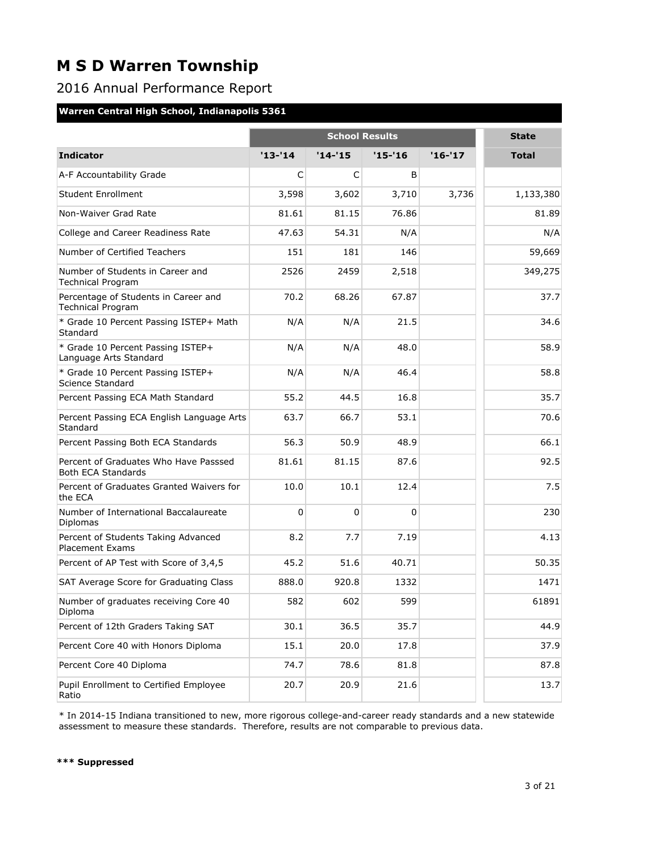## 2016 Annual Performance Report

#### **Warren Central High School, Indianapolis 5361**

|                                                                    |            |            | <b>State</b> |         |              |
|--------------------------------------------------------------------|------------|------------|--------------|---------|--------------|
| <b>Indicator</b>                                                   | $'13 - 14$ | $'14 - 15$ | $'15 - 16$   | '16-'17 | <b>Total</b> |
| A-F Accountability Grade                                           | C          | C          | B            |         |              |
| <b>Student Enrollment</b>                                          | 3,598      | 3,602      | 3,710        | 3,736   | 1,133,380    |
| Non-Waiver Grad Rate                                               | 81.61      | 81.15      | 76.86        |         | 81.89        |
| College and Career Readiness Rate                                  | 47.63      | 54.31      | N/A          |         | N/A          |
| Number of Certified Teachers                                       | 151        | 181        | 146          |         | 59,669       |
| Number of Students in Career and<br><b>Technical Program</b>       | 2526       | 2459       | 2,518        |         | 349,275      |
| Percentage of Students in Career and<br><b>Technical Program</b>   | 70.2       | 68.26      | 67.87        |         | 37.7         |
| * Grade 10 Percent Passing ISTEP+ Math<br>Standard                 | N/A        | N/A        | 21.5         |         | 34.6         |
| * Grade 10 Percent Passing ISTEP+<br>Language Arts Standard        | N/A        | N/A        | 48.0         |         | 58.9         |
| * Grade 10 Percent Passing ISTEP+<br>Science Standard              | N/A        | N/A        | 46.4         |         | 58.8         |
| Percent Passing ECA Math Standard                                  | 55.2       | 44.5       | 16.8         |         | 35.7         |
| Percent Passing ECA English Language Arts<br>Standard              | 63.7       | 66.7       | 53.1         |         | 70.6         |
| Percent Passing Both ECA Standards                                 | 56.3       | 50.9       | 48.9         |         | 66.1         |
| Percent of Graduates Who Have Passsed<br><b>Both ECA Standards</b> | 81.61      | 81.15      | 87.6         |         | 92.5         |
| Percent of Graduates Granted Waivers for<br>the ECA                | 10.0       | 10.1       | 12.4         |         | 7.5          |
| Number of International Baccalaureate<br>Diplomas                  | 0          | 0          | $\mathbf 0$  |         | 230          |
| Percent of Students Taking Advanced<br><b>Placement Exams</b>      | 8.2        | 7.7        | 7.19         |         | 4.13         |
| Percent of AP Test with Score of 3,4,5                             | 45.2       | 51.6       | 40.71        |         | 50.35        |
| SAT Average Score for Graduating Class                             | 888.0      | 920.8      | 1332         |         | 1471         |
| Number of graduates receiving Core 40<br>Diploma                   | 582        | 602        | 599          |         | 61891        |
| Percent of 12th Graders Taking SAT                                 | 30.1       | 36.5       | 35.7         |         | 44.9         |
| Percent Core 40 with Honors Diploma                                | 15.1       | 20.0       | 17.8         |         | 37.9         |
| Percent Core 40 Diploma                                            | 74.7       | 78.6       | 81.8         |         | 87.8         |
| Pupil Enrollment to Certified Employee<br>Ratio                    | 20.7       | 20.9       | 21.6         |         | 13.7         |

\* In 2014-15 Indiana transitioned to new, more rigorous college-and-career ready standards and a new statewide assessment to measure these standards. Therefore, results are not comparable to previous data.

#### **\*\*\* Suppressed**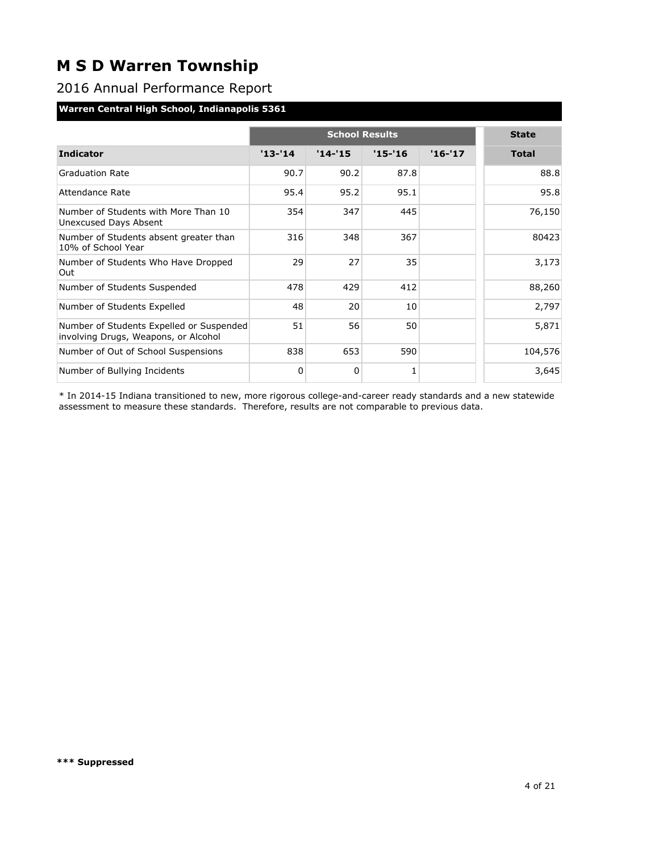### 2016 Annual Performance Report

#### **Warren Central High School, Indianapolis 5361**

|                                                                                  |            | <b>State</b> |            |          |              |
|----------------------------------------------------------------------------------|------------|--------------|------------|----------|--------------|
| <b>Indicator</b>                                                                 | $'13 - 14$ | $'14 - 15$   | $'15 - 16$ | $'16-17$ | <b>Total</b> |
| <b>Graduation Rate</b>                                                           | 90.7       | 90.2         | 87.8       |          | 88.8         |
| Attendance Rate                                                                  | 95.4       | 95.2         | 95.1       |          | 95.8         |
| Number of Students with More Than 10<br>Unexcused Days Absent                    | 354        | 347          | 445        |          | 76,150       |
| Number of Students absent greater than<br>10% of School Year                     | 316        | 348          | 367        |          | 80423        |
| Number of Students Who Have Dropped<br>Out                                       | 29         | 27           | 35         |          | 3,173        |
| Number of Students Suspended                                                     | 478        | 429          | 412        |          | 88,260       |
| Number of Students Expelled                                                      | 48         | 20           | 10         |          | 2,797        |
| Number of Students Expelled or Suspended<br>involving Drugs, Weapons, or Alcohol | 51         | 56           | 50         |          | 5,871        |
| Number of Out of School Suspensions                                              | 838        | 653          | 590        |          | 104,576      |
| Number of Bullying Incidents                                                     | 0          | 0            | 1          |          | 3,645        |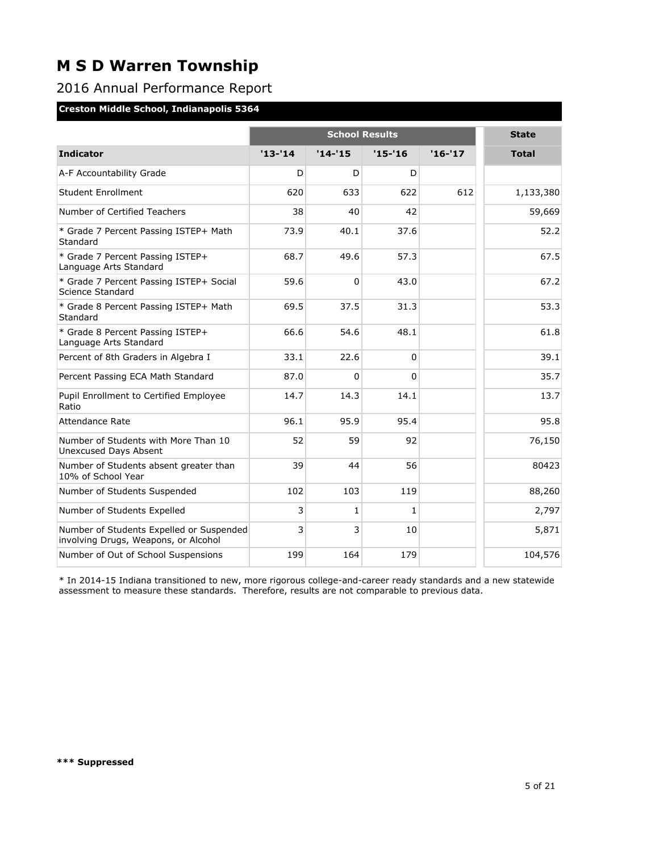### 2016 Annual Performance Report

#### **Creston Middle School, Indianapolis 5364**

|                                                                                  |            | <b>School Results</b> |              |          |              |  |
|----------------------------------------------------------------------------------|------------|-----------------------|--------------|----------|--------------|--|
| <b>Indicator</b>                                                                 | $'13 - 14$ | $'14 - 15$            | $'15 - 16$   | $'16-17$ | <b>Total</b> |  |
| A-F Accountability Grade                                                         | D          | D                     | D            |          |              |  |
| Student Enrollment                                                               | 620        | 633                   | 622          | 612      | 1,133,380    |  |
| Number of Certified Teachers                                                     | 38         | 40                    | 42           |          | 59,669       |  |
| * Grade 7 Percent Passing ISTEP+ Math<br>Standard                                | 73.9       | 40.1                  | 37.6         |          | 52.2         |  |
| * Grade 7 Percent Passing ISTEP+<br>Language Arts Standard                       | 68.7       | 49.6                  | 57.3         |          | 67.5         |  |
| * Grade 7 Percent Passing ISTEP+ Social<br>Science Standard                      | 59.6       | $\mathbf 0$           | 43.0         |          | 67.2         |  |
| * Grade 8 Percent Passing ISTEP+ Math<br>Standard                                | 69.5       | 37.5                  | 31.3         |          | 53.3         |  |
| * Grade 8 Percent Passing ISTEP+<br>Language Arts Standard                       | 66.6       | 54.6                  | 48.1         |          | 61.8         |  |
| Percent of 8th Graders in Algebra I                                              | 33.1       | 22.6                  | $\mathbf 0$  |          | 39.1         |  |
| Percent Passing ECA Math Standard                                                | 87.0       | 0                     | $\Omega$     |          | 35.7         |  |
| Pupil Enrollment to Certified Employee<br>Ratio                                  | 14.7       | 14.3                  | 14.1         |          | 13.7         |  |
| Attendance Rate                                                                  | 96.1       | 95.9                  | 95.4         |          | 95.8         |  |
| Number of Students with More Than 10<br>Unexcused Days Absent                    | 52         | 59                    | 92           |          | 76,150       |  |
| Number of Students absent greater than<br>10% of School Year                     | 39         | 44                    | 56           |          | 80423        |  |
| Number of Students Suspended                                                     | 102        | 103                   | 119          |          | 88,260       |  |
| Number of Students Expelled                                                      | 3          | $\mathbf{1}$          | $\mathbf{1}$ |          | 2,797        |  |
| Number of Students Expelled or Suspended<br>involving Drugs, Weapons, or Alcohol | 3          | 3                     | 10           |          | 5,871        |  |
| Number of Out of School Suspensions                                              | 199        | 164                   | 179          |          | 104,576      |  |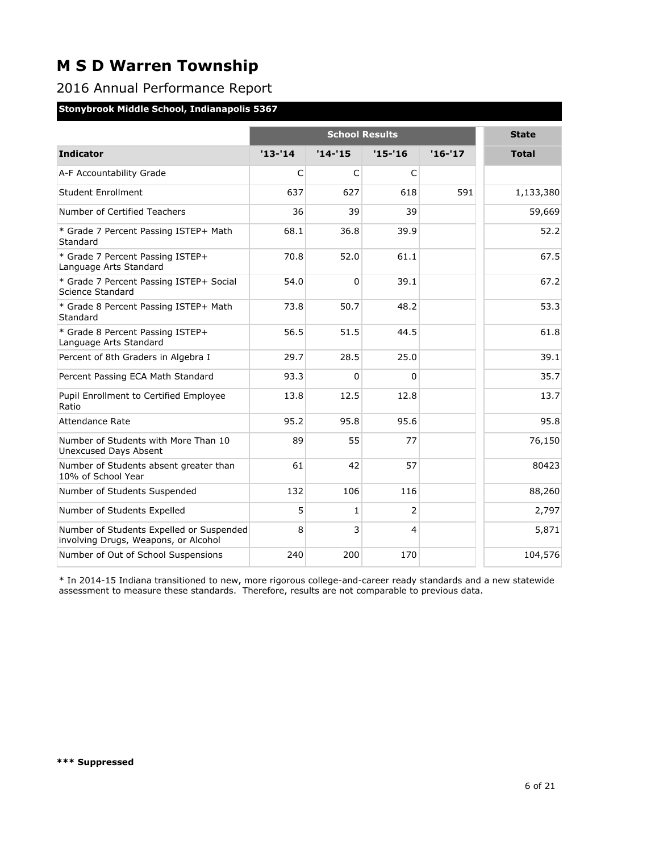### 2016 Annual Performance Report

#### **Stonybrook Middle School, Indianapolis 5367**

|                                                                                  |            | <b>School Results</b> |              |          |              |  |
|----------------------------------------------------------------------------------|------------|-----------------------|--------------|----------|--------------|--|
| <b>Indicator</b>                                                                 | $'13 - 14$ | $'14 - 15$            | $'15 - 16$   | $'16-17$ | <b>Total</b> |  |
| A-F Accountability Grade                                                         | C          | C                     | $\mathsf{C}$ |          |              |  |
| Student Enrollment                                                               | 637        | 627                   | 618          | 591      | 1,133,380    |  |
| Number of Certified Teachers                                                     | 36         | 39                    | 39           |          | 59,669       |  |
| * Grade 7 Percent Passing ISTEP+ Math<br>Standard                                | 68.1       | 36.8                  | 39.9         |          | 52.2         |  |
| * Grade 7 Percent Passing ISTEP+<br>Language Arts Standard                       | 70.8       | 52.0                  | 61.1         |          | 67.5         |  |
| * Grade 7 Percent Passing ISTEP+ Social<br>Science Standard                      | 54.0       | $\Omega$              | 39.1         |          | 67.2         |  |
| * Grade 8 Percent Passing ISTEP+ Math<br>Standard                                | 73.8       | 50.7                  | 48.2         |          | 53.3         |  |
| * Grade 8 Percent Passing ISTEP+<br>Language Arts Standard                       | 56.5       | 51.5                  | 44.5         |          | 61.8         |  |
| Percent of 8th Graders in Algebra I                                              | 29.7       | 28.5                  | 25.0         |          | 39.1         |  |
| Percent Passing ECA Math Standard                                                | 93.3       | $\Omega$              | $\Omega$     |          | 35.7         |  |
| Pupil Enrollment to Certified Employee<br>Ratio                                  | 13.8       | 12.5                  | 12.8         |          | 13.7         |  |
| <b>Attendance Rate</b>                                                           | 95.2       | 95.8                  | 95.6         |          | 95.8         |  |
| Number of Students with More Than 10<br>Unexcused Days Absent                    | 89         | 55                    | 77           |          | 76,150       |  |
| Number of Students absent greater than<br>10% of School Year                     | 61         | 42                    | 57           |          | 80423        |  |
| Number of Students Suspended                                                     | 132        | 106                   | 116          |          | 88,260       |  |
| Number of Students Expelled                                                      | 5          | $\mathbf{1}$          | 2            |          | 2,797        |  |
| Number of Students Expelled or Suspended<br>involving Drugs, Weapons, or Alcohol | 8          | 3                     | 4            |          | 5,871        |  |
| Number of Out of School Suspensions                                              | 240        | 200                   | 170          |          | 104,576      |  |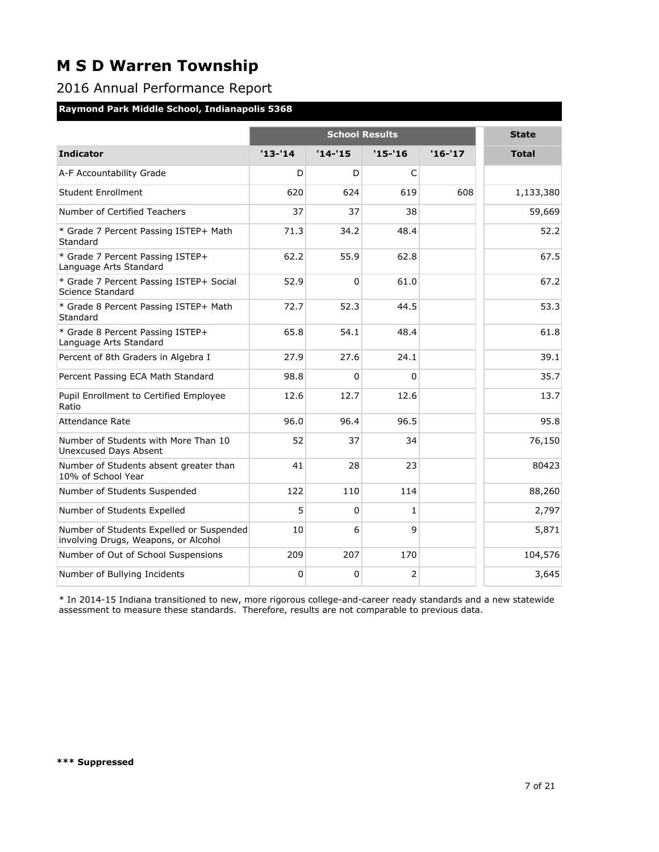### 2016 Annual Performance Report

#### **Raymond Park Middle School, Indianapolis 5368**

|                                                                                  |            | <b>School Results</b> |              |         |              |  |  |
|----------------------------------------------------------------------------------|------------|-----------------------|--------------|---------|--------------|--|--|
| <b>Indicator</b>                                                                 | $'13 - 14$ | $'14 - 15$            | '15-'16      | '16-'17 | <b>Total</b> |  |  |
| A-F Accountability Grade                                                         | D          | D                     | $\mathsf{C}$ |         |              |  |  |
| Student Enrollment                                                               | 620        | 624                   | 619          | 608     | 1,133,380    |  |  |
| Number of Certified Teachers                                                     | 37         | 37                    | 38           |         | 59,669       |  |  |
| * Grade 7 Percent Passing ISTEP+ Math<br>Standard                                | 71.3       | 34.2                  | 48.4         |         | 52.2         |  |  |
| * Grade 7 Percent Passing ISTEP+<br>Language Arts Standard                       | 62.2       | 55.9                  | 62.8         |         | 67.5         |  |  |
| * Grade 7 Percent Passing ISTEP+ Social<br>Science Standard                      | 52.9       | 0                     | 61.0         |         | 67.2         |  |  |
| * Grade 8 Percent Passing ISTEP+ Math<br>Standard                                | 72.7       | 52.3                  | 44.5         |         | 53.3         |  |  |
| * Grade 8 Percent Passing ISTEP+<br>Language Arts Standard                       | 65.8       | 54.1                  | 48.4         |         | 61.8         |  |  |
| Percent of 8th Graders in Algebra I                                              | 27.9       | 27.6                  | 24.1         |         | 39.1         |  |  |
| Percent Passing ECA Math Standard                                                | 98.8       | $\Omega$              | $\Omega$     |         | 35.7         |  |  |
| Pupil Enrollment to Certified Employee<br>Ratio                                  | 12.6       | 12.7                  | 12.6         |         | 13.7         |  |  |
| Attendance Rate                                                                  | 96.0       | 96.4                  | 96.5         |         | 95.8         |  |  |
| Number of Students with More Than 10<br><b>Unexcused Days Absent</b>             | 52         | 37                    | 34           |         | 76,150       |  |  |
| Number of Students absent greater than<br>10% of School Year                     | 41         | 28                    | 23           |         | 80423        |  |  |
| Number of Students Suspended                                                     | 122        | 110                   | 114          |         | 88,260       |  |  |
| Number of Students Expelled                                                      | 5          | 0                     | $\mathbf{1}$ |         | 2,797        |  |  |
| Number of Students Expelled or Suspended<br>involving Drugs, Weapons, or Alcohol | 10         | 6                     | 9            |         | 5,871        |  |  |
| Number of Out of School Suspensions                                              | 209        | 207                   | 170          |         | 104,576      |  |  |
| Number of Bullying Incidents                                                     | $\Omega$   | 0                     | 2            |         | 3,645        |  |  |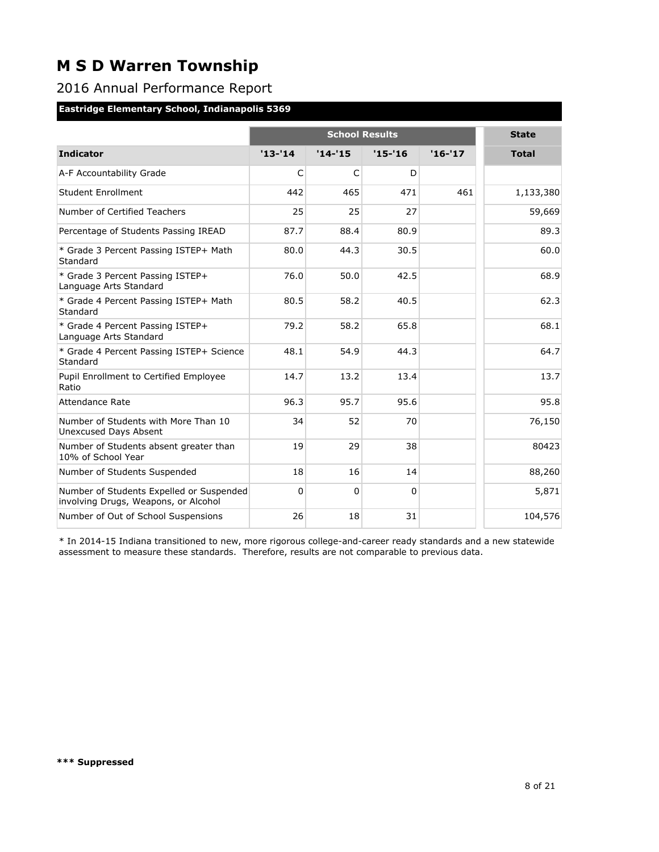### 2016 Annual Performance Report

### **Eastridge Elementary School, Indianapolis 5369**

|                                                                                  |            | <b>School Results</b> |             |          |              |  |
|----------------------------------------------------------------------------------|------------|-----------------------|-------------|----------|--------------|--|
| <b>Indicator</b>                                                                 | $'13 - 14$ | $'14 - 15$            | $'15 - '16$ | $'16-17$ | <b>Total</b> |  |
| A-F Accountability Grade                                                         | C          | C                     | D           |          |              |  |
| <b>Student Enrollment</b>                                                        | 442        | 465                   | 471         | 461      | 1,133,380    |  |
| Number of Certified Teachers                                                     | 25         | 25                    | 27          |          | 59,669       |  |
| Percentage of Students Passing IREAD                                             | 87.7       | 88.4                  | 80.9        |          | 89.3         |  |
| * Grade 3 Percent Passing ISTEP+ Math<br>Standard                                | 80.0       | 44.3                  | 30.5        |          | 60.0         |  |
| * Grade 3 Percent Passing ISTEP+<br>Language Arts Standard                       | 76.0       | 50.0                  | 42.5        |          | 68.9         |  |
| * Grade 4 Percent Passing ISTEP+ Math<br>Standard                                | 80.5       | 58.2                  | 40.5        |          | 62.3         |  |
| * Grade 4 Percent Passing ISTEP+<br>Language Arts Standard                       | 79.2       | 58.2                  | 65.8        |          | 68.1         |  |
| * Grade 4 Percent Passing ISTEP+ Science<br>Standard                             | 48.1       | 54.9                  | 44.3        |          | 64.7         |  |
| Pupil Enrollment to Certified Employee<br>Ratio                                  | 14.7       | 13.2                  | 13.4        |          | 13.7         |  |
| Attendance Rate                                                                  | 96.3       | 95.7                  | 95.6        |          | 95.8         |  |
| Number of Students with More Than 10<br><b>Unexcused Days Absent</b>             | 34         | 52                    | 70          |          | 76,150       |  |
| Number of Students absent greater than<br>10% of School Year                     | 19         | 29                    | 38          |          | 80423        |  |
| Number of Students Suspended                                                     | 18         | 16                    | 14          |          | 88,260       |  |
| Number of Students Expelled or Suspended<br>involving Drugs, Weapons, or Alcohol | $\Omega$   | $\Omega$              | $\Omega$    |          | 5,871        |  |
| Number of Out of School Suspensions                                              | 26         | 18                    | 31          |          | 104,576      |  |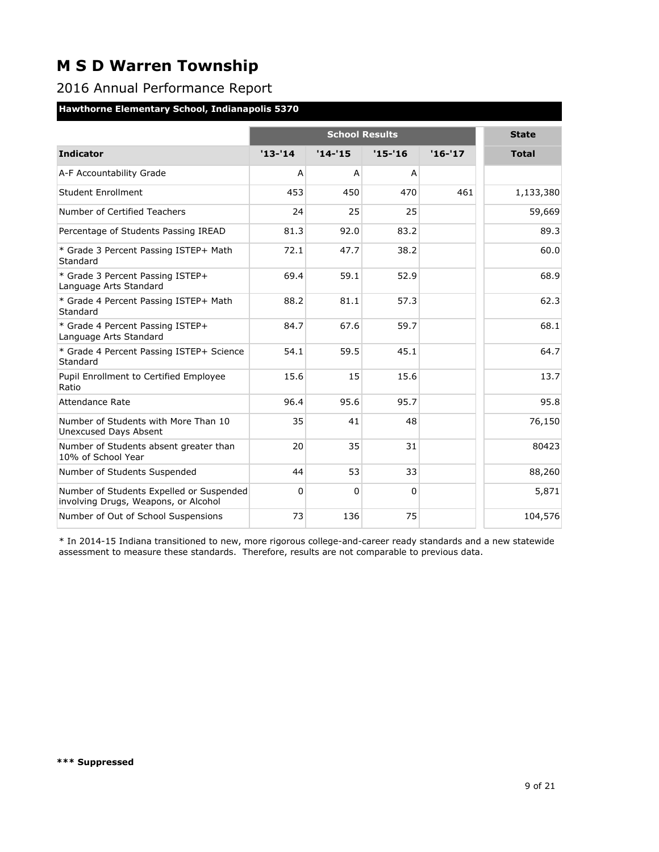### 2016 Annual Performance Report

### **Hawthorne Elementary School, Indianapolis 5370**

|                                                                                  |            | <b>School Results</b> |             |          |              |  |  |
|----------------------------------------------------------------------------------|------------|-----------------------|-------------|----------|--------------|--|--|
| <b>Indicator</b>                                                                 | $'13 - 14$ | $'14-'15$             | $'15 - '16$ | $'16-17$ | <b>Total</b> |  |  |
| A-F Accountability Grade                                                         | A          | A                     | A           |          |              |  |  |
| <b>Student Enrollment</b>                                                        | 453        | 450                   | 470         | 461      | 1,133,380    |  |  |
| Number of Certified Teachers                                                     | 24         | 25                    | 25          |          | 59,669       |  |  |
| Percentage of Students Passing IREAD                                             | 81.3       | 92.0                  | 83.2        |          | 89.3         |  |  |
| * Grade 3 Percent Passing ISTEP+ Math<br>Standard                                | 72.1       | 47.7                  | 38.2        |          | 60.0         |  |  |
| * Grade 3 Percent Passing ISTEP+<br>Language Arts Standard                       | 69.4       | 59.1                  | 52.9        |          | 68.9         |  |  |
| * Grade 4 Percent Passing ISTEP+ Math<br>Standard                                | 88.2       | 81.1                  | 57.3        |          | 62.3         |  |  |
| * Grade 4 Percent Passing ISTEP+<br>Language Arts Standard                       | 84.7       | 67.6                  | 59.7        |          | 68.1         |  |  |
| * Grade 4 Percent Passing ISTEP+ Science<br>Standard                             | 54.1       | 59.5                  | 45.1        |          | 64.7         |  |  |
| Pupil Enrollment to Certified Employee<br>Ratio                                  | 15.6       | 15                    | 15.6        |          | 13.7         |  |  |
| Attendance Rate                                                                  | 96.4       | 95.6                  | 95.7        |          | 95.8         |  |  |
| Number of Students with More Than 10<br><b>Unexcused Days Absent</b>             | 35         | 41                    | 48          |          | 76,150       |  |  |
| Number of Students absent greater than<br>10% of School Year                     | 20         | 35                    | 31          |          | 80423        |  |  |
| Number of Students Suspended                                                     | 44         | 53                    | 33          |          | 88,260       |  |  |
| Number of Students Expelled or Suspended<br>involving Drugs, Weapons, or Alcohol | 0          | $\Omega$              | $\Omega$    |          | 5,871        |  |  |
| Number of Out of School Suspensions                                              | 73         | 136                   | 75          |          | 104,576      |  |  |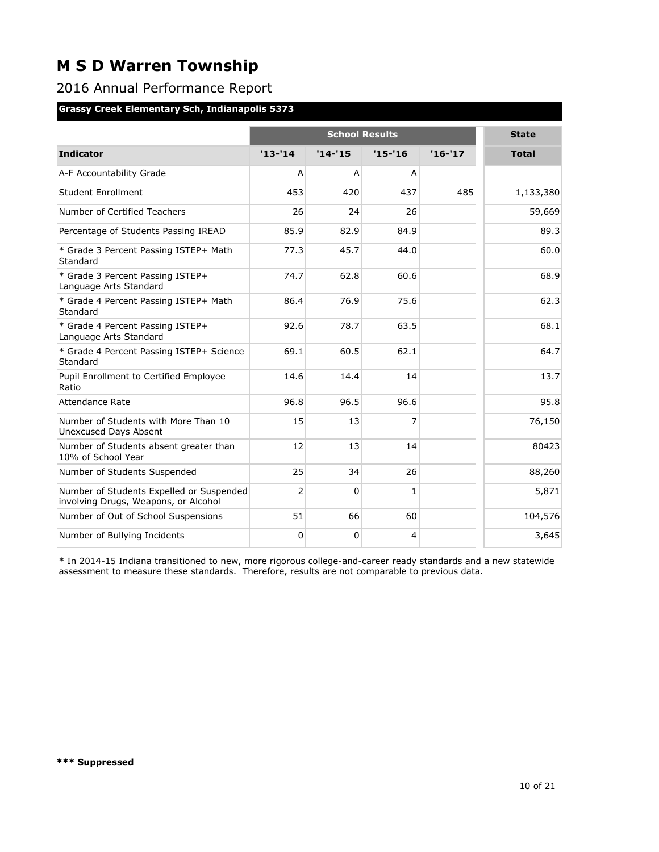### 2016 Annual Performance Report

#### **Grassy Creek Elementary Sch, Indianapolis 5373**

|                                                                                  |                | <b>School Results</b> |                |          |              |  |  |
|----------------------------------------------------------------------------------|----------------|-----------------------|----------------|----------|--------------|--|--|
| <b>Indicator</b>                                                                 | $'13-'14$      | $'14 - 15$            | $'15 - '16$    | $'16-17$ | <b>Total</b> |  |  |
| A-F Accountability Grade                                                         | A              | A                     | A              |          |              |  |  |
| <b>Student Enrollment</b>                                                        | 453            | 420                   | 437            | 485      | 1,133,380    |  |  |
| Number of Certified Teachers                                                     | 26             | 24                    | 26             |          | 59,669       |  |  |
| Percentage of Students Passing IREAD                                             | 85.9           | 82.9                  | 84.9           |          | 89.3         |  |  |
| * Grade 3 Percent Passing ISTEP+ Math<br>Standard                                | 77.3           | 45.7                  | 44.0           |          | 60.0         |  |  |
| * Grade 3 Percent Passing ISTEP+<br>Language Arts Standard                       | 74.7           | 62.8                  | 60.6           |          | 68.9         |  |  |
| * Grade 4 Percent Passing ISTEP+ Math<br>Standard                                | 86.4           | 76.9                  | 75.6           |          | 62.3         |  |  |
| * Grade 4 Percent Passing ISTEP+<br>Language Arts Standard                       | 92.6           | 78.7                  | 63.5           |          | 68.1         |  |  |
| * Grade 4 Percent Passing ISTEP+ Science<br>Standard                             | 69.1           | 60.5                  | 62.1           |          | 64.7         |  |  |
| Pupil Enrollment to Certified Employee<br>Ratio                                  | 14.6           | 14.4                  | 14             |          | 13.7         |  |  |
| Attendance Rate                                                                  | 96.8           | 96.5                  | 96.6           |          | 95.8         |  |  |
| Number of Students with More Than 10<br>Unexcused Days Absent                    | 15             | 13                    | 7              |          | 76,150       |  |  |
| Number of Students absent greater than<br>10% of School Year                     | 12             | 13                    | 14             |          | 80423        |  |  |
| Number of Students Suspended                                                     | 25             | 34                    | 26             |          | 88,260       |  |  |
| Number of Students Expelled or Suspended<br>involving Drugs, Weapons, or Alcohol | $\overline{2}$ | $\Omega$              | 1              |          | 5,871        |  |  |
| Number of Out of School Suspensions                                              | 51             | 66                    | 60             |          | 104,576      |  |  |
| Number of Bullying Incidents                                                     | 0              | 0                     | $\overline{4}$ |          | 3,645        |  |  |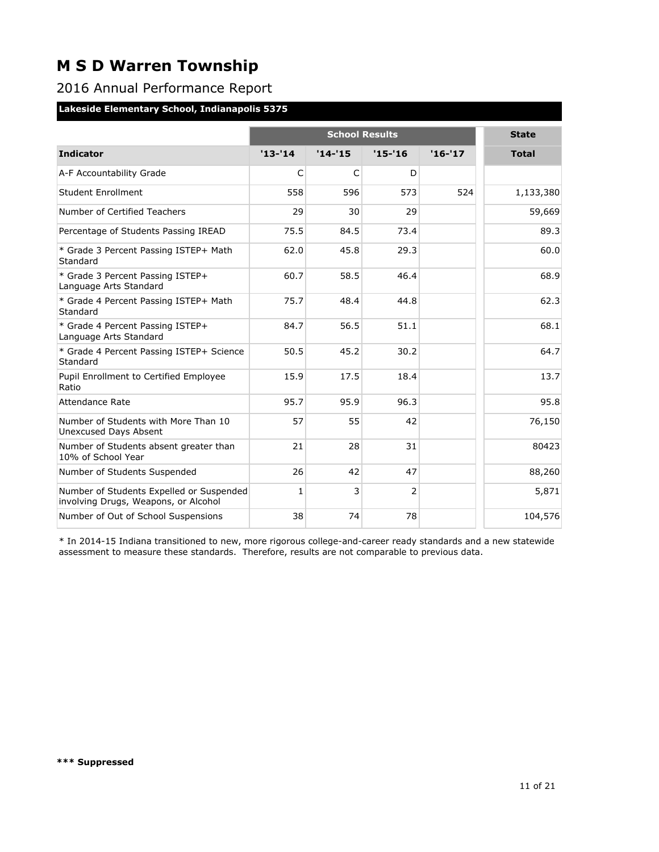### 2016 Annual Performance Report

### **Lakeside Elementary School, Indianapolis 5375**

|                                                                                  |              | <b>School Results</b> |            |          |              |  |
|----------------------------------------------------------------------------------|--------------|-----------------------|------------|----------|--------------|--|
| <b>Indicator</b>                                                                 | $'13 - 14$   | $'14-'15$             | $'15 - 16$ | $'16-17$ | <b>Total</b> |  |
| A-F Accountability Grade                                                         | C            | C                     | D          |          |              |  |
| Student Enrollment                                                               | 558          | 596                   | 573        | 524      | 1,133,380    |  |
| Number of Certified Teachers                                                     | 29           | 30                    | 29         |          | 59,669       |  |
| Percentage of Students Passing IREAD                                             | 75.5         | 84.5                  | 73.4       |          | 89.3         |  |
| * Grade 3 Percent Passing ISTEP+ Math<br>Standard                                | 62.0         | 45.8                  | 29.3       |          | 60.0         |  |
| * Grade 3 Percent Passing ISTEP+<br>Language Arts Standard                       | 60.7         | 58.5                  | 46.4       |          | 68.9         |  |
| * Grade 4 Percent Passing ISTEP+ Math<br>Standard                                | 75.7         | 48.4                  | 44.8       |          | 62.3         |  |
| * Grade 4 Percent Passing ISTEP+<br>Language Arts Standard                       | 84.7         | 56.5                  | 51.1       |          | 68.1         |  |
| * Grade 4 Percent Passing ISTEP+ Science<br>Standard                             | 50.5         | 45.2                  | 30.2       |          | 64.7         |  |
| Pupil Enrollment to Certified Employee<br>Ratio                                  | 15.9         | 17.5                  | 18.4       |          | 13.7         |  |
| Attendance Rate                                                                  | 95.7         | 95.9                  | 96.3       |          | 95.8         |  |
| Number of Students with More Than 10<br><b>Unexcused Days Absent</b>             | 57           | 55                    | 42         |          | 76,150       |  |
| Number of Students absent greater than<br>10% of School Year                     | 21           | 28                    | 31         |          | 80423        |  |
| Number of Students Suspended                                                     | 26           | 42                    | 47         |          | 88,260       |  |
| Number of Students Expelled or Suspended<br>involving Drugs, Weapons, or Alcohol | $\mathbf{1}$ | 3                     | 2          |          | 5,871        |  |
| Number of Out of School Suspensions                                              | 38           | 74                    | 78         |          | 104,576      |  |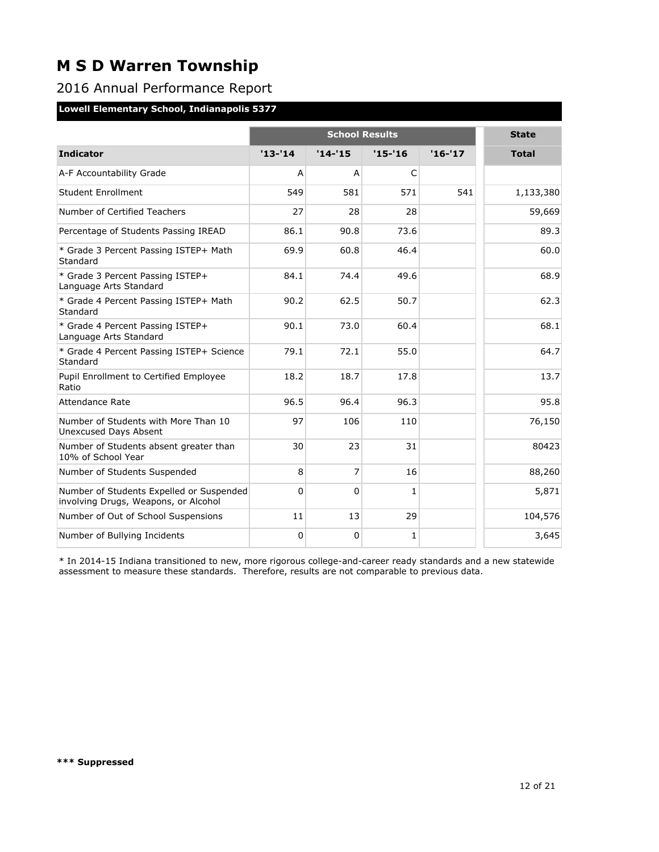### 2016 Annual Performance Report

#### **Lowell Elementary School, Indianapolis 5377**

|                                                                                  |           |           | <b>School Results</b> |          | <b>State</b> |
|----------------------------------------------------------------------------------|-----------|-----------|-----------------------|----------|--------------|
| <b>Indicator</b>                                                                 | $'13-'14$ | $'14-'15$ | $'15 - 16$            | $'16-17$ | <b>Total</b> |
| A-F Accountability Grade                                                         | A         | A         | $\mathsf{C}$          |          |              |
| Student Enrollment                                                               | 549       | 581       | 571                   | 541      | 1,133,380    |
| Number of Certified Teachers                                                     | 27        | 28        | 28                    |          | 59,669       |
| Percentage of Students Passing IREAD                                             | 86.1      | 90.8      | 73.6                  |          | 89.3         |
| * Grade 3 Percent Passing ISTEP+ Math<br>Standard                                | 69.9      | 60.8      | 46.4                  |          | 60.0         |
| * Grade 3 Percent Passing ISTEP+<br>Language Arts Standard                       | 84.1      | 74.4      | 49.6                  |          | 68.9         |
| * Grade 4 Percent Passing ISTEP+ Math<br>Standard                                | 90.2      | 62.5      | 50.7                  |          | 62.3         |
| * Grade 4 Percent Passing ISTEP+<br>Language Arts Standard                       | 90.1      | 73.0      | 60.4                  |          | 68.1         |
| * Grade 4 Percent Passing ISTEP+ Science<br>Standard                             | 79.1      | 72.1      | 55.0                  |          | 64.7         |
| Pupil Enrollment to Certified Employee<br>Ratio                                  | 18.2      | 18.7      | 17.8                  |          | 13.7         |
| Attendance Rate                                                                  | 96.5      | 96.4      | 96.3                  |          | 95.8         |
| Number of Students with More Than 10<br>Unexcused Days Absent                    | 97        | 106       | 110                   |          | 76,150       |
| Number of Students absent greater than<br>10% of School Year                     | 30        | 23        | 31                    |          | 80423        |
| Number of Students Suspended                                                     | 8         | 7         | 16                    |          | 88,260       |
| Number of Students Expelled or Suspended<br>involving Drugs, Weapons, or Alcohol | $\Omega$  | 0         | 1                     |          | 5,871        |
| Number of Out of School Suspensions                                              | 11        | 13        | 29                    |          | 104,576      |
| Number of Bullying Incidents                                                     | 0         | 0         | 1                     |          | 3,645        |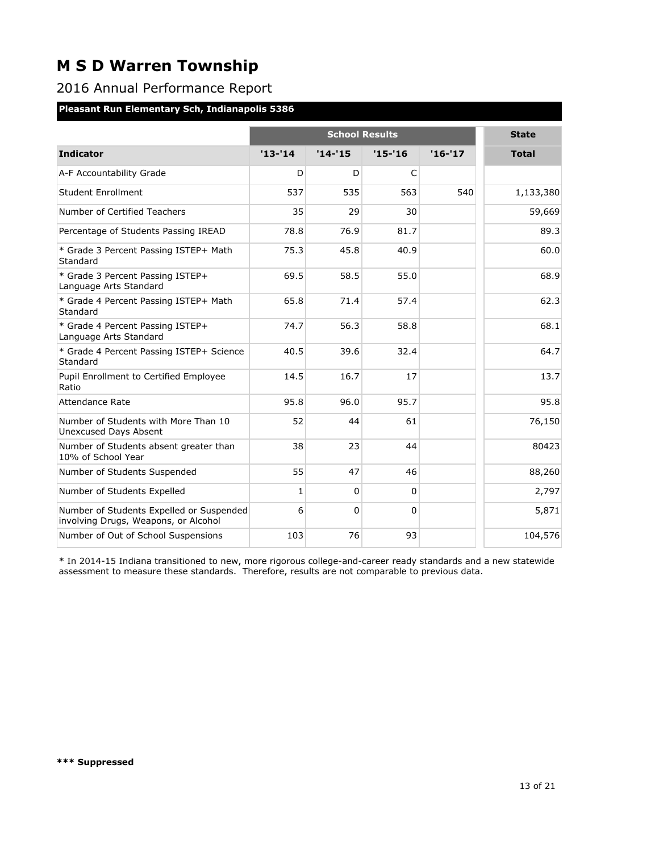### 2016 Annual Performance Report

### **Pleasant Run Elementary Sch, Indianapolis 5386**

|                                                                                  |              | <b>State</b> |            |          |              |
|----------------------------------------------------------------------------------|--------------|--------------|------------|----------|--------------|
| <b>Indicator</b>                                                                 | $'13-'14$    | $'14-'15$    | $'15 - 16$ | $'16-17$ | <b>Total</b> |
| A-F Accountability Grade                                                         | D            | D            | C          |          |              |
| <b>Student Enrollment</b>                                                        | 537          | 535          | 563        | 540      | 1,133,380    |
| Number of Certified Teachers                                                     | 35           | 29           | 30         |          | 59,669       |
| Percentage of Students Passing IREAD                                             | 78.8         | 76.9         | 81.7       |          | 89.3         |
| * Grade 3 Percent Passing ISTEP+ Math<br>Standard                                | 75.3         | 45.8         | 40.9       |          | 60.0         |
| * Grade 3 Percent Passing ISTEP+<br>Language Arts Standard                       | 69.5         | 58.5         | 55.0       |          | 68.9         |
| * Grade 4 Percent Passing ISTEP+ Math<br>Standard                                | 65.8         | 71.4         | 57.4       |          | 62.3         |
| * Grade 4 Percent Passing ISTEP+<br>Language Arts Standard                       | 74.7         | 56.3         | 58.8       |          | 68.1         |
| * Grade 4 Percent Passing ISTEP+ Science<br>Standard                             | 40.5         | 39.6         | 32.4       |          | 64.7         |
| Pupil Enrollment to Certified Employee<br>Ratio                                  | 14.5         | 16.7         | 17         |          | 13.7         |
| Attendance Rate                                                                  | 95.8         | 96.0         | 95.7       |          | 95.8         |
| Number of Students with More Than 10<br>Unexcused Days Absent                    | 52           | 44           | 61         |          | 76,150       |
| Number of Students absent greater than<br>10% of School Year                     | 38           | 23           | 44         |          | 80423        |
| Number of Students Suspended                                                     | 55           | 47           | 46         |          | 88,260       |
| Number of Students Expelled                                                      | $\mathbf{1}$ | $\Omega$     | $\Omega$   |          | 2,797        |
| Number of Students Expelled or Suspended<br>involving Drugs, Weapons, or Alcohol | 6            | $\Omega$     | $\Omega$   |          | 5,871        |
| Number of Out of School Suspensions                                              | 103          | 76           | 93         |          | 104,576      |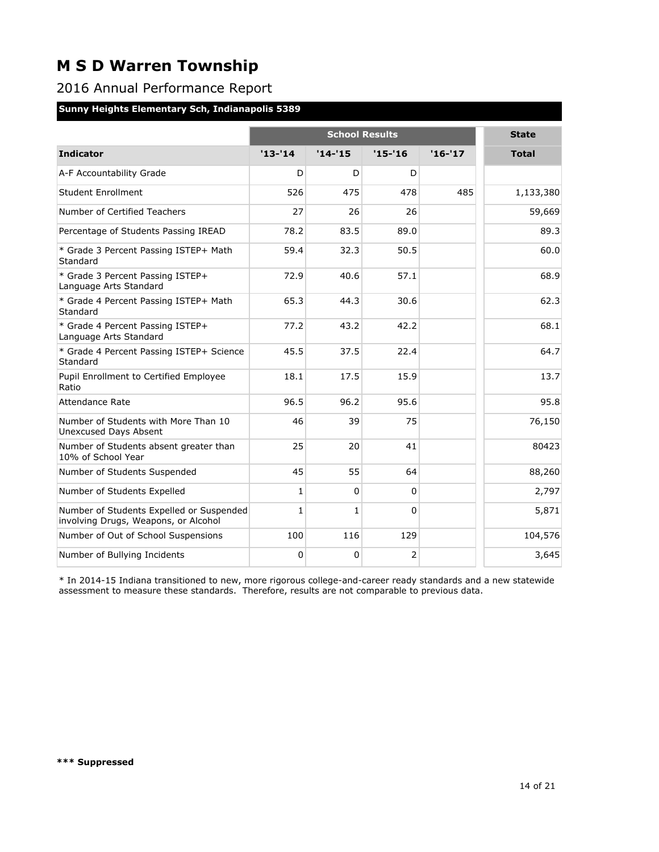### 2016 Annual Performance Report

### **Sunny Heights Elementary Sch, Indianapolis 5389**

|                                                                                  |              | <b>State</b> |            |          |              |
|----------------------------------------------------------------------------------|--------------|--------------|------------|----------|--------------|
| <b>Indicator</b>                                                                 | $'13-'14$    | $'14-'15$    | $'15 - 16$ | $'16-17$ | <b>Total</b> |
| A-F Accountability Grade                                                         | D            | D            | D          |          |              |
| <b>Student Enrollment</b>                                                        | 526          | 475          | 478        | 485      | 1,133,380    |
| Number of Certified Teachers                                                     | 27           | 26           | 26         |          | 59,669       |
| Percentage of Students Passing IREAD                                             | 78.2         | 83.5         | 89.0       |          | 89.3         |
| * Grade 3 Percent Passing ISTEP+ Math<br>Standard                                | 59.4         | 32.3         | 50.5       |          | 60.0         |
| * Grade 3 Percent Passing ISTEP+<br>Language Arts Standard                       | 72.9         | 40.6         | 57.1       |          | 68.9         |
| * Grade 4 Percent Passing ISTEP+ Math<br>Standard                                | 65.3         | 44.3         | 30.6       |          | 62.3         |
| * Grade 4 Percent Passing ISTEP+<br>Language Arts Standard                       | 77.2         | 43.2         | 42.2       |          | 68.1         |
| * Grade 4 Percent Passing ISTEP+ Science<br>Standard                             | 45.5         | 37.5         | 22.4       |          | 64.7         |
| Pupil Enrollment to Certified Employee<br>Ratio                                  | 18.1         | 17.5         | 15.9       |          | 13.7         |
| Attendance Rate                                                                  | 96.5         | 96.2         | 95.6       |          | 95.8         |
| Number of Students with More Than 10<br><b>Unexcused Days Absent</b>             | 46           | 39           | 75         |          | 76,150       |
| Number of Students absent greater than<br>10% of School Year                     | 25           | 20           | 41         |          | 80423        |
| Number of Students Suspended                                                     | 45           | 55           | 64         |          | 88,260       |
| Number of Students Expelled                                                      | $\mathbf{1}$ | $\Omega$     | $\Omega$   |          | 2,797        |
| Number of Students Expelled or Suspended<br>involving Drugs, Weapons, or Alcohol | 1            | $\mathbf{1}$ | $\Omega$   |          | 5,871        |
| Number of Out of School Suspensions                                              | 100          | 116          | 129        |          | 104,576      |
| Number of Bullying Incidents                                                     | $\Omega$     | 0            | 2          |          | 3,645        |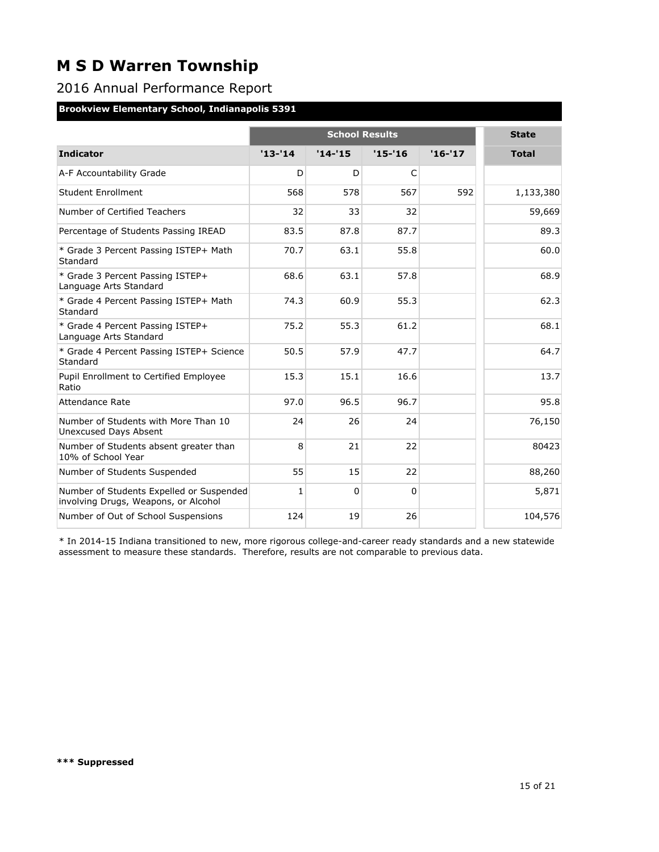### 2016 Annual Performance Report

### **Brookview Elementary School, Indianapolis 5391**

|                                                                                  |            | <b>State</b> |                                      |          |              |
|----------------------------------------------------------------------------------|------------|--------------|--------------------------------------|----------|--------------|
| <b>Indicator</b>                                                                 | $'13 - 14$ | $'14 - 15$   | <b>School Results</b><br>$'15 - '16$ | $'16-17$ |              |
|                                                                                  |            |              |                                      |          | <b>Total</b> |
| A-F Accountability Grade                                                         | D          | D            | C                                    |          |              |
| <b>Student Enrollment</b>                                                        | 568        | 578          | 567                                  | 592      | 1,133,380    |
| Number of Certified Teachers                                                     | 32         | 33           | 32                                   |          | 59,669       |
| Percentage of Students Passing IREAD                                             | 83.5       | 87.8         | 87.7                                 |          | 89.3         |
| * Grade 3 Percent Passing ISTEP+ Math<br>Standard                                | 70.7       | 63.1         | 55.8                                 |          | 60.0         |
| * Grade 3 Percent Passing ISTEP+<br>Language Arts Standard                       | 68.6       | 63.1         | 57.8                                 |          | 68.9         |
| * Grade 4 Percent Passing ISTEP+ Math<br>Standard                                | 74.3       | 60.9         | 55.3                                 |          | 62.3         |
| * Grade 4 Percent Passing ISTEP+<br>Language Arts Standard                       | 75.2       | 55.3         | 61.2                                 |          | 68.1         |
| * Grade 4 Percent Passing ISTEP+ Science<br>Standard                             | 50.5       | 57.9         | 47.7                                 |          | 64.7         |
| Pupil Enrollment to Certified Employee<br>Ratio                                  | 15.3       | 15.1         | 16.6                                 |          | 13.7         |
| Attendance Rate                                                                  | 97.0       | 96.5         | 96.7                                 |          | 95.8         |
| Number of Students with More Than 10<br><b>Unexcused Days Absent</b>             | 24         | 26           | 24                                   |          | 76,150       |
| Number of Students absent greater than<br>10% of School Year                     | 8          | 21           | 22                                   |          | 80423        |
| Number of Students Suspended                                                     | 55         | 15           | 22                                   |          | 88,260       |
| Number of Students Expelled or Suspended<br>involving Drugs, Weapons, or Alcohol | 1          | $\Omega$     | $\Omega$                             |          | 5,871        |
| Number of Out of School Suspensions                                              | 124        | 19           | 26                                   |          | 104,576      |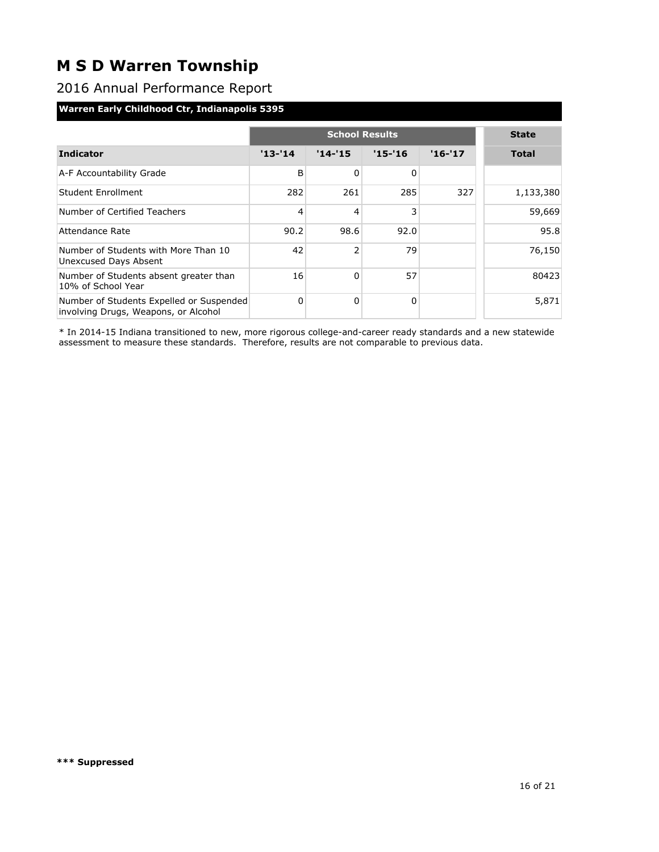### 2016 Annual Performance Report

#### **Warren Early Childhood Ctr, Indianapolis 5395**

|                                                                                  |            | <b>School Results</b> |            |          |              |  |  |
|----------------------------------------------------------------------------------|------------|-----------------------|------------|----------|--------------|--|--|
| <b>Indicator</b>                                                                 | $'13 - 14$ | $'14 - 15$            | $'15 - 16$ | $'16-17$ | <b>Total</b> |  |  |
| A-F Accountability Grade                                                         | B          | 0                     | 0          |          |              |  |  |
| Student Enrollment                                                               | 282        | 261                   | 285        | 327      | 1,133,380    |  |  |
| Number of Certified Teachers                                                     | 4          | 4                     | 3          |          | 59,669       |  |  |
| Attendance Rate                                                                  | 90.2       | 98.6                  | 92.0       |          | 95.8         |  |  |
| Number of Students with More Than 10<br>Unexcused Days Absent                    | 42         | 2                     | 79         |          | 76,150       |  |  |
| Number of Students absent greater than<br>10% of School Year                     | 16         | $\Omega$              | 57         |          | 80423        |  |  |
| Number of Students Expelled or Suspended<br>involving Drugs, Weapons, or Alcohol | $\Omega$   | 0                     | 0          |          | 5,871        |  |  |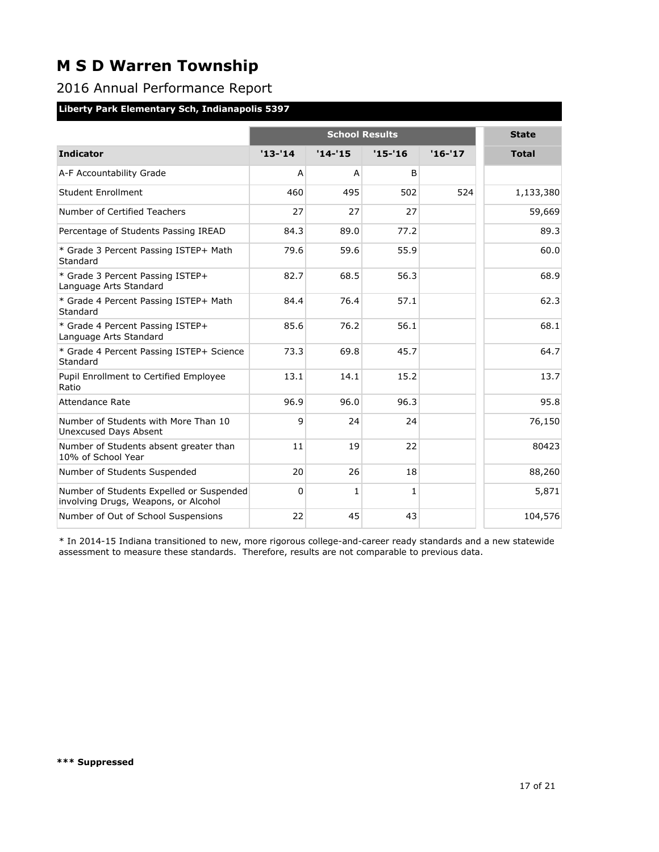### 2016 Annual Performance Report

### **Liberty Park Elementary Sch, Indianapolis 5397**

|                                                                                  |            | <b>State</b> |                                     |          |              |
|----------------------------------------------------------------------------------|------------|--------------|-------------------------------------|----------|--------------|
| <b>Indicator</b>                                                                 | $'13 - 14$ | $'14 - 15$   | <b>School Results</b><br>$'15 - 16$ | $'16-17$ | <b>Total</b> |
|                                                                                  |            |              |                                     |          |              |
| A-F Accountability Grade                                                         | A          | A            | B                                   |          |              |
| <b>Student Enrollment</b>                                                        | 460        | 495          | 502                                 | 524      | 1,133,380    |
| Number of Certified Teachers                                                     | 27         | 27           | 27                                  |          | 59,669       |
| Percentage of Students Passing IREAD                                             | 84.3       | 89.0         | 77.2                                |          | 89.3         |
| * Grade 3 Percent Passing ISTEP+ Math<br>Standard                                | 79.6       | 59.6         | 55.9                                |          | 60.0         |
| * Grade 3 Percent Passing ISTEP+<br>Language Arts Standard                       | 82.7       | 68.5         | 56.3                                |          | 68.9         |
| * Grade 4 Percent Passing ISTEP+ Math<br>Standard                                | 84.4       | 76.4         | 57.1                                |          | 62.3         |
| * Grade 4 Percent Passing ISTEP+<br>Language Arts Standard                       | 85.6       | 76.2         | 56.1                                |          | 68.1         |
| * Grade 4 Percent Passing ISTEP+ Science<br>Standard                             | 73.3       | 69.8         | 45.7                                |          | 64.7         |
| Pupil Enrollment to Certified Employee<br>Ratio                                  | 13.1       | 14.1         | 15.2                                |          | 13.7         |
| Attendance Rate                                                                  | 96.9       | 96.0         | 96.3                                |          | 95.8         |
| Number of Students with More Than 10<br><b>Unexcused Days Absent</b>             | 9          | 24           | 24                                  |          | 76,150       |
| Number of Students absent greater than<br>10% of School Year                     | 11         | 19           | 22                                  |          | 80423        |
| Number of Students Suspended                                                     | 20         | 26           | 18                                  |          | 88,260       |
| Number of Students Expelled or Suspended<br>involving Drugs, Weapons, or Alcohol | 0          | $\mathbf{1}$ | $\mathbf{1}$                        |          | 5,871        |
| Number of Out of School Suspensions                                              | 22         | 45           | 43                                  |          | 104,576      |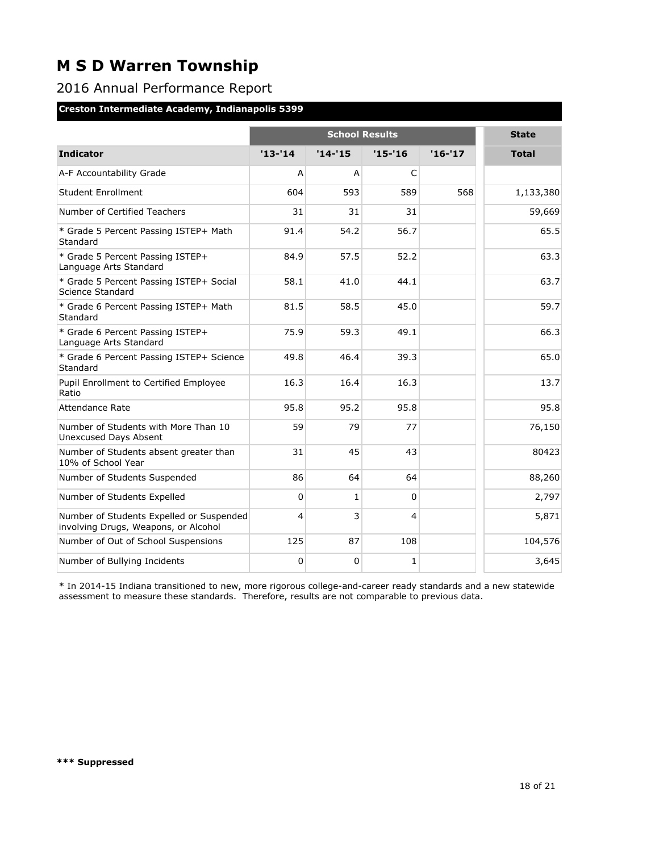### 2016 Annual Performance Report

### **Creston Intermediate Academy, Indianapolis 5399**

|                                                                                  |            | <b>State</b>   |            |          |              |
|----------------------------------------------------------------------------------|------------|----------------|------------|----------|--------------|
| <b>Indicator</b>                                                                 | $'13 - 14$ | $'14 - 15$     | $'15 - 16$ | $'16-17$ | <b>Total</b> |
| A-F Accountability Grade                                                         | A          | $\overline{A}$ | C          |          |              |
| <b>Student Enrollment</b>                                                        | 604        | 593            | 589        | 568      | 1,133,380    |
| Number of Certified Teachers                                                     | 31         | 31             | 31         |          | 59,669       |
| * Grade 5 Percent Passing ISTEP+ Math<br>Standard                                | 91.4       | 54.2           | 56.7       |          | 65.5         |
| * Grade 5 Percent Passing ISTEP+<br>Language Arts Standard                       | 84.9       | 57.5           | 52.2       |          | 63.3         |
| * Grade 5 Percent Passing ISTEP+ Social<br>Science Standard                      | 58.1       | 41.0           | 44.1       |          | 63.7         |
| * Grade 6 Percent Passing ISTEP+ Math<br>Standard                                | 81.5       | 58.5           | 45.0       |          | 59.7         |
| * Grade 6 Percent Passing ISTEP+<br>Language Arts Standard                       | 75.9       | 59.3           | 49.1       |          | 66.3         |
| * Grade 6 Percent Passing ISTEP+ Science<br>Standard                             | 49.8       | 46.4           | 39.3       |          | 65.0         |
| Pupil Enrollment to Certified Employee<br>Ratio                                  | 16.3       | 16.4           | 16.3       |          | 13.7         |
| <b>Attendance Rate</b>                                                           | 95.8       | 95.2           | 95.8       |          | 95.8         |
| Number of Students with More Than 10<br>Unexcused Days Absent                    | 59         | 79             | 77         |          | 76,150       |
| Number of Students absent greater than<br>10% of School Year                     | 31         | 45             | 43         |          | 80423        |
| Number of Students Suspended                                                     | 86         | 64             | 64         |          | 88,260       |
| Number of Students Expelled                                                      | 0          | $\mathbf{1}$   | $\Omega$   |          | 2,797        |
| Number of Students Expelled or Suspended<br>involving Drugs, Weapons, or Alcohol | 4          | 3              | 4          |          | 5,871        |
| Number of Out of School Suspensions                                              | 125        | 87             | 108        |          | 104,576      |
| Number of Bullying Incidents                                                     | 0          | 0              | 1          |          | 3,645        |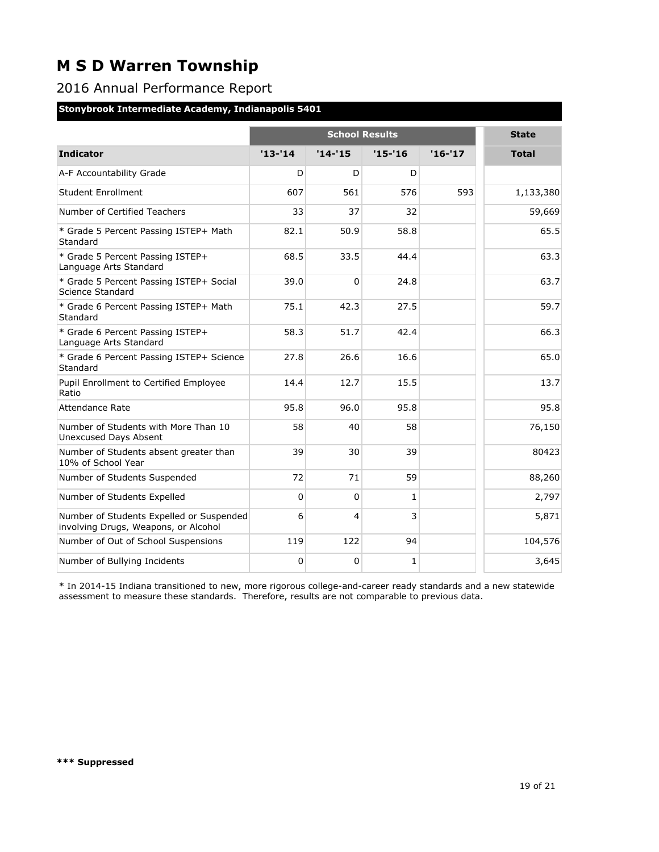### 2016 Annual Performance Report

#### **Stonybrook Intermediate Academy, Indianapolis 5401**

|                                                                                  |           | <b>State</b> |            |          |              |
|----------------------------------------------------------------------------------|-----------|--------------|------------|----------|--------------|
| <b>Indicator</b>                                                                 | $'13-'14$ | $'14 - 15$   | $'15 - 16$ | $'16-17$ | <b>Total</b> |
| A-F Accountability Grade                                                         | D         | D            | D          |          |              |
| <b>Student Enrollment</b>                                                        | 607       | 561          | 576        | 593      | 1,133,380    |
| Number of Certified Teachers                                                     | 33        | 37           | 32         |          | 59,669       |
| * Grade 5 Percent Passing ISTEP+ Math<br>Standard                                | 82.1      | 50.9         | 58.8       |          | 65.5         |
| * Grade 5 Percent Passing ISTEP+<br>Language Arts Standard                       | 68.5      | 33.5         | 44.4       |          | 63.3         |
| * Grade 5 Percent Passing ISTEP+ Social<br>Science Standard                      | 39.0      | $\Omega$     | 24.8       |          | 63.7         |
| * Grade 6 Percent Passing ISTEP+ Math<br>Standard                                | 75.1      | 42.3         | 27.5       |          | 59.7         |
| * Grade 6 Percent Passing ISTEP+<br>Language Arts Standard                       | 58.3      | 51.7         | 42.4       |          | 66.3         |
| * Grade 6 Percent Passing ISTEP+ Science<br>Standard                             | 27.8      | 26.6         | 16.6       |          | 65.0         |
| Pupil Enrollment to Certified Employee<br>Ratio                                  | 14.4      | 12.7         | 15.5       |          | 13.7         |
| <b>Attendance Rate</b>                                                           | 95.8      | 96.0         | 95.8       |          | 95.8         |
| Number of Students with More Than 10<br>Unexcused Days Absent                    | 58        | 40           | 58         |          | 76,150       |
| Number of Students absent greater than<br>10% of School Year                     | 39        | 30           | 39         |          | 80423        |
| Number of Students Suspended                                                     | 72        | 71           | 59         |          | 88,260       |
| Number of Students Expelled                                                      | 0         | $\Omega$     | 1          |          | 2,797        |
| Number of Students Expelled or Suspended<br>involving Drugs, Weapons, or Alcohol | 6         | 4            | 3          |          | 5,871        |
| Number of Out of School Suspensions                                              | 119       | 122          | 94         |          | 104,576      |
| Number of Bullying Incidents                                                     | 0         | 0            | 1          |          | 3,645        |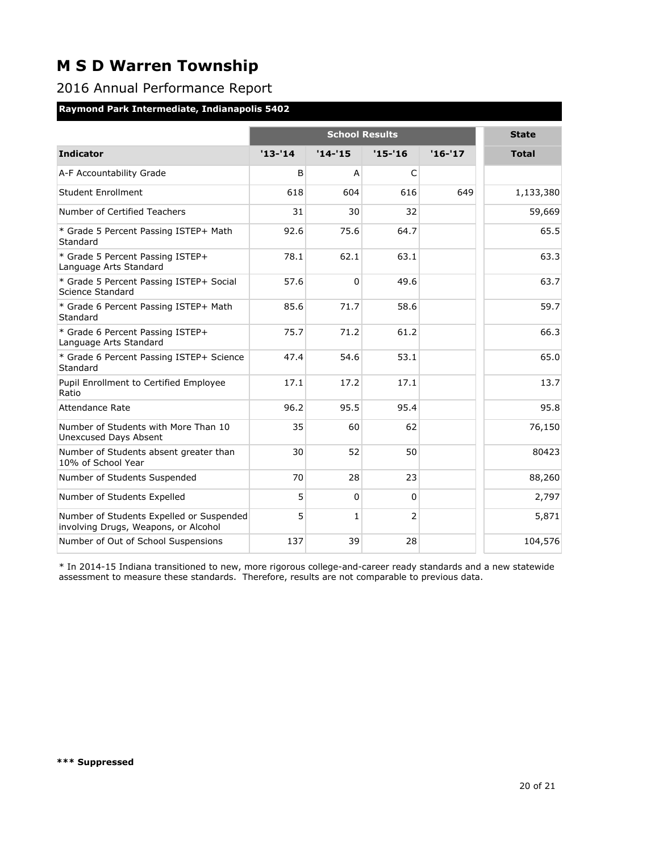### 2016 Annual Performance Report

#### **Raymond Park Intermediate, Indianapolis 5402**

|                                                                                  |           | <b>School Results</b> |                |          |              |  |  |
|----------------------------------------------------------------------------------|-----------|-----------------------|----------------|----------|--------------|--|--|
| <b>Indicator</b>                                                                 | $'13-'14$ | $'14-'15$             | $'15 - 16$     | $'16-17$ | <b>Total</b> |  |  |
| A-F Accountability Grade                                                         | B         | A                     | C              |          |              |  |  |
| Student Enrollment                                                               | 618       | 604                   | 616            | 649      | 1,133,380    |  |  |
| Number of Certified Teachers                                                     | 31        | 30                    | 32             |          | 59,669       |  |  |
| * Grade 5 Percent Passing ISTEP+ Math<br>Standard                                | 92.6      | 75.6                  | 64.7           |          | 65.5         |  |  |
| * Grade 5 Percent Passing ISTEP+<br>Language Arts Standard                       | 78.1      | 62.1                  | 63.1           |          | 63.3         |  |  |
| * Grade 5 Percent Passing ISTEP+ Social<br>Science Standard                      | 57.6      | $\Omega$              | 49.6           |          | 63.7         |  |  |
| * Grade 6 Percent Passing ISTEP+ Math<br>Standard                                | 85.6      | 71.7                  | 58.6           |          | 59.7         |  |  |
| * Grade 6 Percent Passing ISTEP+<br>Language Arts Standard                       | 75.7      | 71.2                  | 61.2           |          | 66.3         |  |  |
| * Grade 6 Percent Passing ISTEP+ Science<br>Standard                             | 47.4      | 54.6                  | 53.1           |          | 65.0         |  |  |
| Pupil Enrollment to Certified Employee<br>Ratio                                  | 17.1      | 17.2                  | 17.1           |          | 13.7         |  |  |
| <b>Attendance Rate</b>                                                           | 96.2      | 95.5                  | 95.4           |          | 95.8         |  |  |
| Number of Students with More Than 10<br>Unexcused Days Absent                    | 35        | 60                    | 62             |          | 76,150       |  |  |
| Number of Students absent greater than<br>10% of School Year                     | 30        | 52                    | 50             |          | 80423        |  |  |
| Number of Students Suspended                                                     | 70        | 28                    | 23             |          | 88,260       |  |  |
| Number of Students Expelled                                                      | 5         | $\Omega$              | $\Omega$       |          | 2,797        |  |  |
| Number of Students Expelled or Suspended<br>involving Drugs, Weapons, or Alcohol | 5         | $\mathbf{1}$          | $\overline{2}$ |          | 5,871        |  |  |
| Number of Out of School Suspensions                                              | 137       | 39                    | 28             |          | 104,576      |  |  |